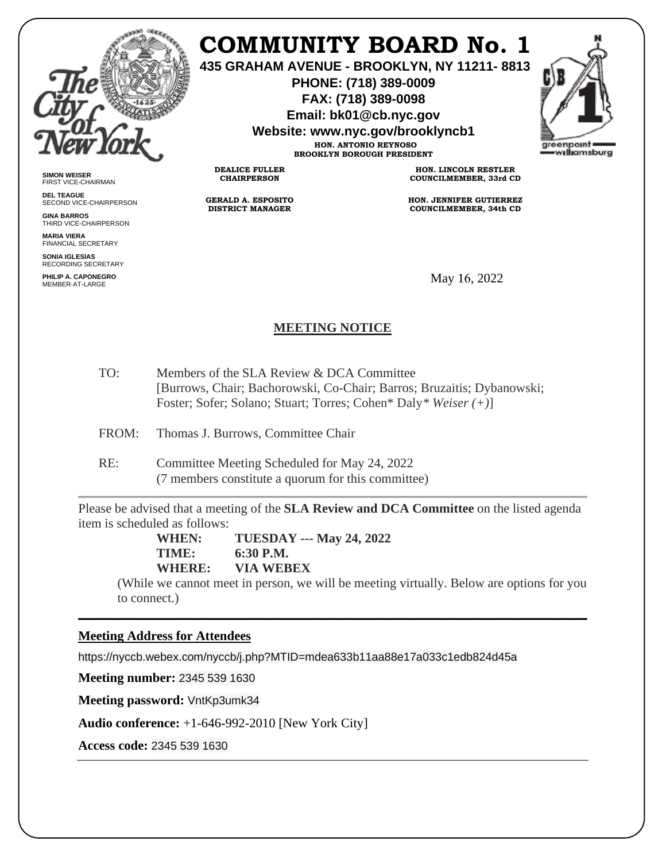

**SIMON WEISER** FIRST VICE-CHAIRMAN **DEL TEAGUE**

**GINA BARROS** THIRD VICE-CHAIRPERSON

**MARIA VIERA** FINANCIAL SECRETARY **SONIA IGLESIAS** RECORDING SECRETARY **PHILIP A. CAPONEGRO**

SECOND VICE-CHAIRPERSON

# **COMMUNITY BOARD No. 1**

**435 GRAHAM AVENUE - BROOKLYN, NY 11211- 8813**

**PHONE: (718) 389-0009 FAX: (718) 389-0098**

**Email: bk01@cb.nyc.gov**

**Website: www.nyc.gov/brooklyncb1**

**HON. ANTONIO REYNOSO BROOKLYN BOROUGH PRESIDENT**

**DEALICE FULLER CHAIRPERSON**

**GERALD A. ESPOSITO DISTRICT MANAGER**

**HON. LINCOLN RESTLER COUNCILMEMBER, 33rd CD**

**HON. JENNIFER GUTIERREZ COUNCILMEMBER, 34th CD**

May 16, 2022

## **MEETING NOTICE**

- TO: Members of the SLA Review & DCA Committee [Burrows, Chair; Bachorowski, Co-Chair; Barros; Bruzaitis; Dybanowski; Foster; Sofer; Solano; Stuart; Torres; Cohen\* Daly*\* Weiser (+)*]
- FROM: Thomas J. Burrows, Committee Chair
- RE: Committee Meeting Scheduled for May 24, 2022 (7 members constitute a quorum for this committee)

Please be advised that a meeting of the **SLA Review and DCA Committee** on the listed agenda item is scheduled as follows:

**WHEN: TUESDAY --- May 24, 2022 TIME: 6:30 P.M. WHERE: VIA WEBEX**

(While we cannot meet in person, we will be meeting virtually. Below are options for you to connect.)

\_\_\_\_\_\_\_\_\_\_\_\_\_\_\_\_\_\_\_\_\_\_\_\_\_\_\_\_\_\_\_\_\_\_\_\_\_\_\_\_\_\_\_\_\_\_\_\_\_\_\_\_\_\_\_\_\_\_\_\_\_\_\_\_\_\_\_\_\_\_\_\_\_\_\_\_\_\_

#### **Meeting Address for Attendees**

https://nyccb.webex.com/nyccb/j.php?MTID=mdea633b11aa88e17a033c1edb824d45a

**Meeting number:** 2345 539 1630

**Meeting password:** VntKp3umk34

**Audio conference:** +1-646-992-2010 [New York City]

**Access code:** 2345 539 1630

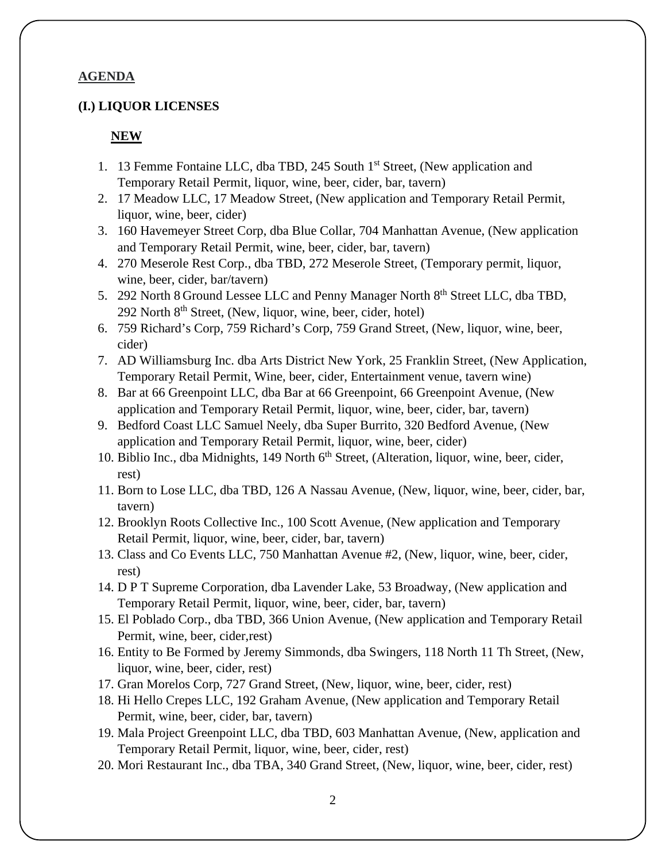#### **AGENDA**

#### **(I.) LIQUOR LICENSES**

#### **NEW**

- 1. 13 Femme Fontaine LLC, dba TBD, 245 South 1<sup>st</sup> Street, (New application and Temporary Retail Permit, liquor, wine, beer, cider, bar, tavern)
- 2. 17 Meadow LLC, 17 Meadow Street, (New application and Temporary Retail Permit, liquor, wine, beer, cider)
- 3. 160 Havemeyer Street Corp, dba Blue Collar, 704 Manhattan Avenue, (New application and Temporary Retail Permit, wine, beer, cider, bar, tavern)
- 4. 270 Meserole Rest Corp., dba TBD, 272 Meserole Street, (Temporary permit, liquor, wine, beer, cider, bar/tavern)
- 5. 292 North 8 Ground Lessee LLC and Penny Manager North 8<sup>th</sup> Street LLC, dba TBD, 292 North  $8<sup>th</sup>$  Street, (New, liquor, wine, beer, cider, hotel)
- 6. 759 Richard's Corp, 759 Richard's Corp, 759 Grand Street, (New, liquor, wine, beer, cider)
- 7. AD Williamsburg Inc. dba Arts District New York, 25 Franklin Street, (New Application, Temporary Retail Permit, Wine, beer, cider, Entertainment venue, tavern wine)
- 8. Bar at 66 Greenpoint LLC, dba Bar at 66 Greenpoint, 66 Greenpoint Avenue, (New application and Temporary Retail Permit, liquor, wine, beer, cider, bar, tavern)
- 9. Bedford Coast LLC Samuel Neely, dba Super Burrito, 320 Bedford Avenue, (New application and Temporary Retail Permit, liquor, wine, beer, cider)
- 10. Biblio Inc., dba Midnights, 149 North 6<sup>th</sup> Street, (Alteration, liquor, wine, beer, cider, rest)
- 11. Born to Lose LLC, dba TBD, 126 A Nassau Avenue, (New, liquor, wine, beer, cider, bar, tavern)
- 12. Brooklyn Roots Collective Inc., 100 Scott Avenue, (New application and Temporary Retail Permit, liquor, wine, beer, cider, bar, tavern)
- 13. Class and Co Events LLC, 750 Manhattan Avenue #2, (New, liquor, wine, beer, cider, rest)
- 14. D P T Supreme Corporation, dba Lavender Lake, 53 Broadway, (New application and Temporary Retail Permit, liquor, wine, beer, cider, bar, tavern)
- 15. El Poblado Corp., dba TBD, 366 Union Avenue, (New application and Temporary Retail Permit, wine, beer, cider,rest)
- 16. Entity to Be Formed by Jeremy Simmonds, dba Swingers, 118 North 11 Th Street, (New, liquor, wine, beer, cider, rest)
- 17. Gran Morelos Corp, 727 Grand Street, (New, liquor, wine, beer, cider, rest)
- 18. Hi Hello Crepes LLC, 192 Graham Avenue, (New application and Temporary Retail Permit, wine, beer, cider, bar, tavern)
- 19. Mala Project Greenpoint LLC, dba TBD, 603 Manhattan Avenue, (New, application and Temporary Retail Permit, liquor, wine, beer, cider, rest)
- 20. Mori Restaurant Inc., dba TBA, 340 Grand Street, (New, liquor, wine, beer, cider, rest)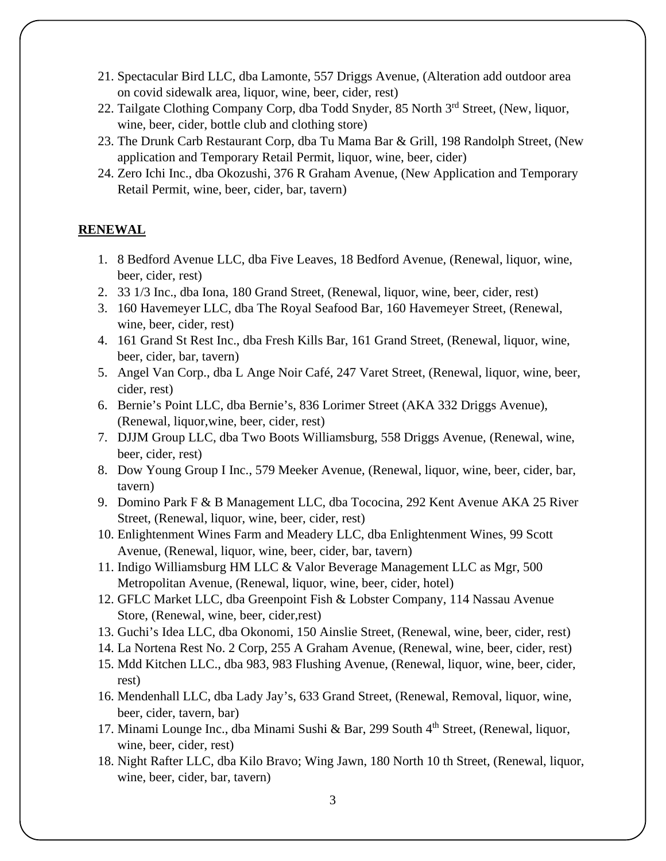- 21. Spectacular Bird LLC, dba Lamonte, 557 Driggs Avenue, (Alteration add outdoor area on covid sidewalk area, liquor, wine, beer, cider, rest)
- 22. Tailgate Clothing Company Corp, dba Todd Snyder, 85 North 3<sup>rd</sup> Street, (New, liquor, wine, beer, cider, bottle club and clothing store)
- 23. The Drunk Carb Restaurant Corp, dba Tu Mama Bar & Grill, 198 Randolph Street, (New application and Temporary Retail Permit, liquor, wine, beer, cider)
- 24. Zero Ichi Inc., dba Okozushi, 376 R Graham Avenue, (New Application and Temporary Retail Permit, wine, beer, cider, bar, tavern)

## **RENEWAL**

- 1. 8 Bedford Avenue LLC, dba Five Leaves, 18 Bedford Avenue, (Renewal, liquor, wine, beer, cider, rest)
- 2. 33 1/3 Inc., dba Iona, 180 Grand Street, (Renewal, liquor, wine, beer, cider, rest)
- 3. 160 Havemeyer LLC, dba The Royal Seafood Bar, 160 Havemeyer Street, (Renewal, wine, beer, cider, rest)
- 4. 161 Grand St Rest Inc., dba Fresh Kills Bar, 161 Grand Street, (Renewal, liquor, wine, beer, cider, bar, tavern)
- 5. Angel Van Corp., dba L Ange Noir Café, 247 Varet Street, (Renewal, liquor, wine, beer, cider, rest)
- 6. Bernie's Point LLC, dba Bernie's, 836 Lorimer Street (AKA 332 Driggs Avenue), (Renewal, liquor,wine, beer, cider, rest)
- 7. DJJM Group LLC, dba Two Boots Williamsburg, 558 Driggs Avenue, (Renewal, wine, beer, cider, rest)
- 8. Dow Young Group I Inc., 579 Meeker Avenue, (Renewal, liquor, wine, beer, cider, bar, tavern)
- 9. Domino Park F & B Management LLC, dba Tococina, 292 Kent Avenue AKA 25 River Street, (Renewal, liquor, wine, beer, cider, rest)
- 10. Enlightenment Wines Farm and Meadery LLC, dba Enlightenment Wines, 99 Scott Avenue, (Renewal, liquor, wine, beer, cider, bar, tavern)
- 11. Indigo Williamsburg HM LLC & Valor Beverage Management LLC as Mgr, 500 Metropolitan Avenue, (Renewal, liquor, wine, beer, cider, hotel)
- 12. GFLC Market LLC, dba Greenpoint Fish & Lobster Company, 114 Nassau Avenue Store, (Renewal, wine, beer, cider,rest)
- 13. Guchi's Idea LLC, dba Okonomi, 150 Ainslie Street, (Renewal, wine, beer, cider, rest)
- 14. La Nortena Rest No. 2 Corp, 255 A Graham Avenue, (Renewal, wine, beer, cider, rest)
- 15. Mdd Kitchen LLC., dba 983, 983 Flushing Avenue, (Renewal, liquor, wine, beer, cider, rest)
- 16. Mendenhall LLC, dba Lady Jay's, 633 Grand Street, (Renewal, Removal, liquor, wine, beer, cider, tavern, bar)
- 17. Minami Lounge Inc., dba Minami Sushi & Bar, 299 South 4<sup>th</sup> Street, (Renewal, liquor, wine, beer, cider, rest)
- 18. Night Rafter LLC, dba Kilo Bravo; Wing Jawn, 180 North 10 th Street, (Renewal, liquor, wine, beer, cider, bar, tavern)